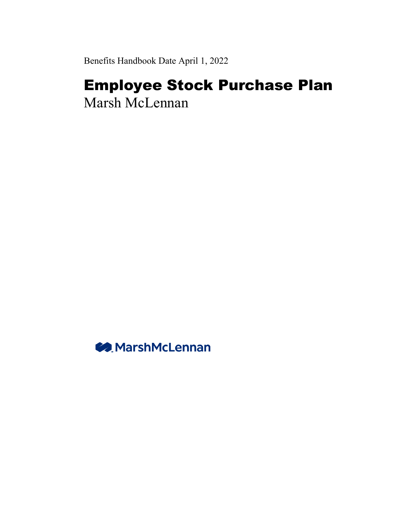Benefits Handbook Date April 1, 2022

# Employee Stock Purchase Plan

Marsh McLennan

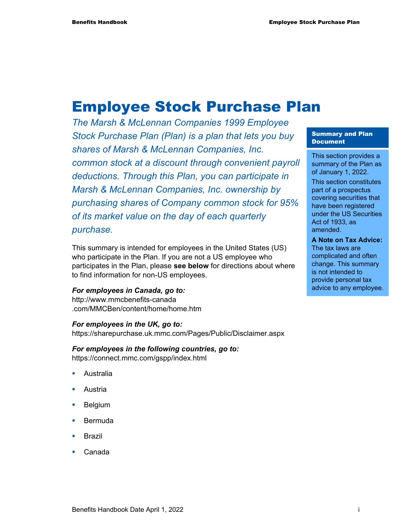## Employee Stock Purchase Plan

*The Marsh & McLennan Companies 1999 Employee Stock Purchase Plan (Plan) is a plan that lets you buy shares of Marsh & McLennan Companies, Inc. common stock at a discount through convenient payroll deductions. Through this Plan, you can participate in Marsh & McLennan Companies, Inc. ownership by purchasing shares of Company common stock for 95% of its market value on the day of each quarterly purchase.* 

This summary is intended for employees in the United States (US) who participate in the Plan. If you are not a US employee who participates in the Plan, please **see below** for directions about where to find information for non-US employees.

#### *For employees in Canada, go to:*

http://www.mmcbenefits-canada .com/MMCBen/content/home/home.htm

#### *For employees in the UK, go to:*

https://sharepurchase.uk.mmc.com/Pages/Public/Disclaimer.aspx

*For employees in the following countries, go to:*  https://connect.mmc.com/gspp/index.html

- Australia
- Austria
- Belgium
- **Bermuda**
- Brazil
- Canada

#### Summary and Plan Document

This section provides a summary of the Plan as of January 1, 2022. This section constitutes part of a prospectus covering securities that have been registered under the US Securities Act of 1933, as amended. **A Note on Tax Advice:** 

The tax laws are complicated and often change. This summary is not intended to provide personal tax advice to any employee.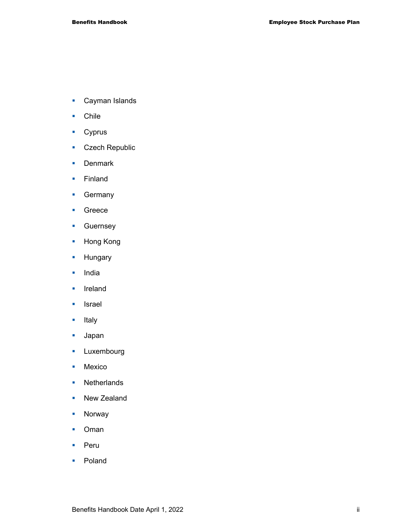- **Cayman Islands**
- **Chile**
- **Cyprus**
- **Czech Republic**
- **Denmark**
- **Finland**
- **Germany**
- **Greece**
- **Guernsey**
- **Hong Kong**
- **Hungary**
- **India**
- **I**reland
- **I**srael
- **Italy**
- Japan
- **Luxembourg**
- **Mexico**
- Netherlands
- New Zealand
- **Norway**
- **Coman**
- **Peru**
- **Poland**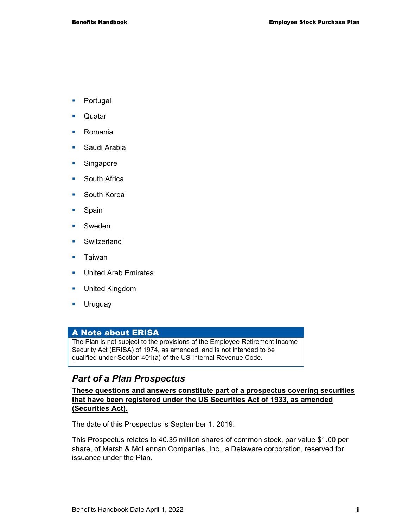- **•** Portugal
- **C**uatar
- **Romania**
- **Saudi Arabia**
- **Singapore**
- **South Africa**
- **South Korea**
- **Spain**
- **Sweden**
- **Switzerland**
- **Taiwan**
- **United Arab Emirates**
- **United Kingdom**
- **Uruguay**

#### A Note about ERISA

The Plan is not subject to the provisions of the Employee Retirement Income Security Act (ERISA) of 1974, as amended, and is not intended to be qualified under Section 401(a) of the US Internal Revenue Code.

#### *Part of a Plan Prospectus*

**These questions and answers constitute part of a prospectus covering securities that have been registered under the US Securities Act of 1933, as amended (Securities Act).** 

The date of this Prospectus is September 1, 2019.

This Prospectus relates to 40.35 million shares of common stock, par value \$1.00 per share, of Marsh & McLennan Companies, Inc., a Delaware corporation, reserved for issuance under the Plan.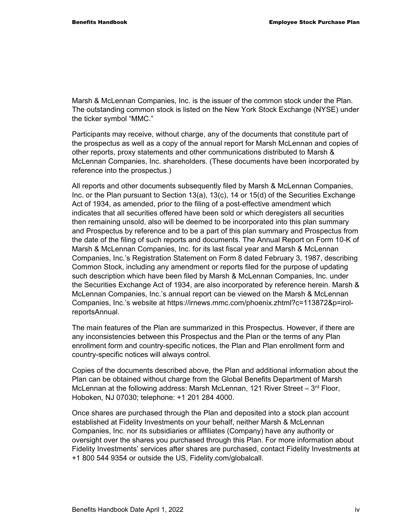Marsh & McLennan Companies, Inc. is the issuer of the common stock under the Plan. The outstanding common stock is listed on the New York Stock Exchange (NYSE) under the ticker symbol "MMC."

Participants may receive, without charge, any of the documents that constitute part of the prospectus as well as a copy of the annual report for Marsh McLennan and copies of other reports, proxy statements and other communications distributed to Marsh & McLennan Companies, Inc. shareholders. (These documents have been incorporated by reference into the prospectus.)

All reports and other documents subsequently filed by Marsh & McLennan Companies, Inc. or the Plan pursuant to Section 13(a), 13(c), 14 or 15(d) of the Securities Exchange Act of 1934, as amended, prior to the filing of a post-effective amendment which indicates that all securities offered have been sold or which deregisters all securities then remaining unsold, also will be deemed to be incorporated into this plan summary and Prospectus by reference and to be a part of this plan summary and Prospectus from the date of the filing of such reports and documents. The Annual Report on Form 10-K of Marsh & McLennan Companies, Inc. for its last fiscal year and Marsh & McLennan Companies, Inc.'s Registration Statement on Form 8 dated February 3, 1987, describing Common Stock, including any amendment or reports filed for the purpose of updating such description which have been filed by Marsh & McLennan Companies, Inc. under the Securities Exchange Act of 1934, are also incorporated by reference herein. Marsh & McLennan Companies, Inc.'s annual report can be viewed on the Marsh & McLennan Companies, Inc.'s website at https://irnews.mmc.com/phoenix.zhtml?c=113872&p=irolreportsAnnual.

The main features of the Plan are summarized in this Prospectus. However, if there are any inconsistencies between this Prospectus and the Plan or the terms of any Plan enrollment form and country-specific notices, the Plan and Plan enrollment form and country-specific notices will always control.

Copies of the documents described above, the Plan and additional information about the Plan can be obtained without charge from the Global Benefits Department of Marsh McLennan at the following address: Marsh McLennan, 121 River Street  $-3<sup>rd</sup>$  Floor, Hoboken, NJ 07030; telephone: +1 201 284 4000.

Once shares are purchased through the Plan and deposited into a stock plan account established at Fidelity Investments on your behalf, neither Marsh & McLennan Companies, Inc. nor its subsidiaries or affiliates (Company) have any authority or oversight over the shares you purchased through this Plan. For more information about Fidelity Investments' services after shares are purchased, contact Fidelity Investments at +1 800 544 9354 or outside the US, Fidelity.com/globalcall.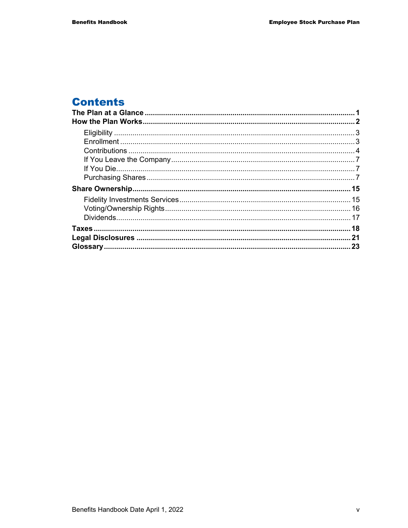## **Contents**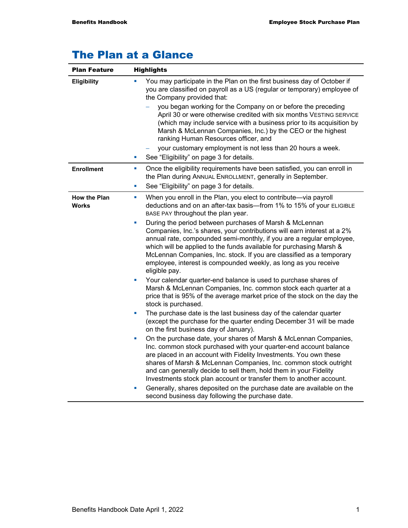## The Plan at a Glance

| <b>Plan Feature</b>                 | <b>Highlights</b>                                                                                                                                                                                                                                                                                                                                                                                                                                   |
|-------------------------------------|-----------------------------------------------------------------------------------------------------------------------------------------------------------------------------------------------------------------------------------------------------------------------------------------------------------------------------------------------------------------------------------------------------------------------------------------------------|
| <b>Eligibility</b>                  | You may participate in the Plan on the first business day of October if<br>you are classified on payroll as a US (regular or temporary) employee of<br>the Company provided that:                                                                                                                                                                                                                                                                   |
|                                     | you began working for the Company on or before the preceding<br>April 30 or were otherwise credited with six months VESTING SERVICE<br>(which may include service with a business prior to its acquisition by<br>Marsh & McLennan Companies, Inc.) by the CEO or the highest<br>ranking Human Resources officer, and                                                                                                                                |
|                                     | your customary employment is not less than 20 hours a week.<br>See "Eligibility" on page 3 for details.<br>L.                                                                                                                                                                                                                                                                                                                                       |
| <b>Enrollment</b>                   | Once the eligibility requirements have been satisfied, you can enroll in<br>×<br>the Plan during ANNUAL ENROLLMENT, generally in September.<br>See "Eligibility" on page 3 for details.<br>ш                                                                                                                                                                                                                                                        |
| <b>How the Plan</b><br><b>Works</b> | When you enroll in the Plan, you elect to contribute-via payroll<br>ш<br>deductions and on an after-tax basis—from 1% to 15% of your ELIGIBLE<br>BASE PAY throughout the plan year.                                                                                                                                                                                                                                                                 |
|                                     | During the period between purchases of Marsh & McLennan<br>L.<br>Companies, Inc.'s shares, your contributions will earn interest at a 2%<br>annual rate, compounded semi-monthly, if you are a regular employee,<br>which will be applied to the funds available for purchasing Marsh &<br>McLennan Companies, Inc. stock. If you are classified as a temporary<br>employee, interest is compounded weekly, as long as you receive<br>eligible pay. |
|                                     | Your calendar quarter-end balance is used to purchase shares of<br>ш<br>Marsh & McLennan Companies, Inc. common stock each quarter at a<br>price that is 95% of the average market price of the stock on the day the<br>stock is purchased.                                                                                                                                                                                                         |
|                                     | The purchase date is the last business day of the calendar quarter<br>L.<br>(except the purchase for the quarter ending December 31 will be made<br>on the first business day of January).                                                                                                                                                                                                                                                          |
|                                     | On the purchase date, your shares of Marsh & McLennan Companies,<br>×<br>Inc. common stock purchased with your quarter-end account balance<br>are placed in an account with Fidelity Investments. You own these<br>shares of Marsh & McLennan Companies, Inc. common stock outright<br>and can generally decide to sell them, hold them in your Fidelity<br>Investments stock plan account or transfer them to another account.                     |
|                                     | Generally, shares deposited on the purchase date are available on the<br>ш<br>second business day following the purchase date.                                                                                                                                                                                                                                                                                                                      |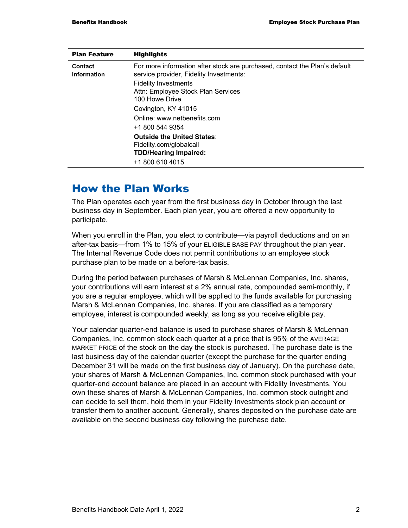| <b>Plan Feature</b>               | <b>Highlights</b>                                                                                                     |  |  |  |  |  |  |  |
|-----------------------------------|-----------------------------------------------------------------------------------------------------------------------|--|--|--|--|--|--|--|
| Contact<br><b>Information</b>     | For more information after stock are purchased, contact the Plan's default<br>service provider, Fidelity Investments: |  |  |  |  |  |  |  |
|                                   | <b>Fidelity Investments</b>                                                                                           |  |  |  |  |  |  |  |
|                                   | Attn: Employee Stock Plan Services                                                                                    |  |  |  |  |  |  |  |
|                                   | 100 Howe Drive                                                                                                        |  |  |  |  |  |  |  |
|                                   | Covington, KY 41015                                                                                                   |  |  |  |  |  |  |  |
|                                   | Online: www.netbenefits.com                                                                                           |  |  |  |  |  |  |  |
|                                   | +1 800 544 9354                                                                                                       |  |  |  |  |  |  |  |
| <b>Outside the United States:</b> |                                                                                                                       |  |  |  |  |  |  |  |
|                                   | Fidelity.com/globalcall                                                                                               |  |  |  |  |  |  |  |
|                                   | <b>TDD/Hearing Impaired:</b>                                                                                          |  |  |  |  |  |  |  |
|                                   | +1 800 610 4015                                                                                                       |  |  |  |  |  |  |  |

## How the Plan Works

The Plan operates each year from the first business day in October through the last business day in September. Each plan year, you are offered a new opportunity to participate.

When you enroll in the Plan, you elect to contribute—via payroll deductions and on an after-tax basis—from 1% to 15% of your ELIGIBLE BASE PAY throughout the plan year. The Internal Revenue Code does not permit contributions to an employee stock purchase plan to be made on a before-tax basis.

During the period between purchases of Marsh & McLennan Companies, Inc. shares, your contributions will earn interest at a 2% annual rate, compounded semi-monthly, if you are a regular employee, which will be applied to the funds available for purchasing Marsh & McLennan Companies, Inc. shares. If you are classified as a temporary employee, interest is compounded weekly, as long as you receive eligible pay.

Your calendar quarter-end balance is used to purchase shares of Marsh & McLennan Companies, Inc. common stock each quarter at a price that is 95% of the AVERAGE MARKET PRICE of the stock on the day the stock is purchased. The purchase date is the last business day of the calendar quarter (except the purchase for the quarter ending December 31 will be made on the first business day of January). On the purchase date, your shares of Marsh & McLennan Companies, Inc. common stock purchased with your quarter-end account balance are placed in an account with Fidelity Investments. You own these shares of Marsh & McLennan Companies, Inc. common stock outright and can decide to sell them, hold them in your Fidelity Investments stock plan account or transfer them to another account. Generally, shares deposited on the purchase date are available on the second business day following the purchase date.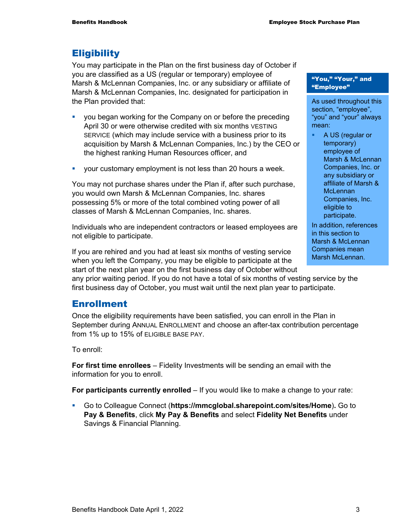#### **Eligibility**

You may participate in the Plan on the first business day of October if you are classified as a US (regular or temporary) employee of Marsh & McLennan Companies, Inc. or any subsidiary or affiliate of Marsh & McLennan Companies, Inc. designated for participation in the Plan provided that:

- **you began working for the Company on or before the preceding** April 30 or were otherwise credited with six months VESTING SERVICE (which may include service with a business prior to its acquisition by Marsh & McLennan Companies, Inc.) by the CEO or the highest ranking Human Resources officer, and
- your customary employment is not less than 20 hours a week.

You may not purchase shares under the Plan if, after such purchase, you would own Marsh & McLennan Companies, Inc. shares possessing 5% or more of the total combined voting power of all classes of Marsh & McLennan Companies, Inc. shares.

Individuals who are independent contractors or leased employees are not eligible to participate.

If you are rehired and you had at least six months of vesting service when you left the Company, you may be eligible to participate at the start of the next plan year on the first business day of October without

any prior waiting period. If you do not have a total of six months of vesting service by the first business day of October, you must wait until the next plan year to participate.

#### Enrollment

Once the eligibility requirements have been satisfied, you can enroll in the Plan in September during ANNUAL ENROLLMENT and choose an after-tax contribution percentage from 1% up to 15% of ELIGIBLE BASE PAY.

To enroll:

**For first time enrollees** – Fidelity Investments will be sending an email with the information for you to enroll.

**For participants currently enrolled** – If you would like to make a change to your rate:

 Go to Colleague Connect (**https://mmcglobal.sharepoint.com/sites/Home**)**.** Go to **Pay & Benefits**, click **My Pay & Benefits** and select **Fidelity Net Benefits** under Savings & Financial Planning.

#### "You," "Your," and "Employee"

As used throughout this section, "employee", "you" and "your" always mean:

**A US (regular or** temporary) employee of Marsh & McLennan Companies, Inc. or any subsidiary or affiliate of Marsh & **McLennan** Companies, Inc. eligible to participate.

In addition, references in this section to Marsh & McLennan Companies mean Marsh McLennan.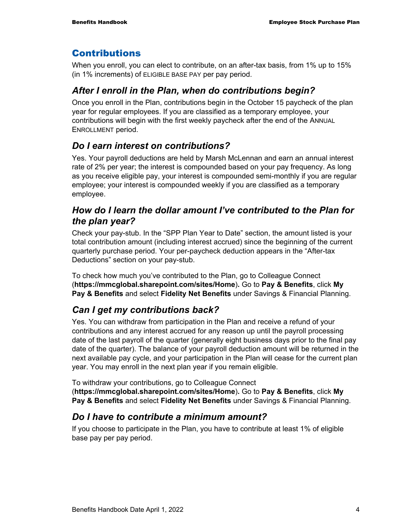## **Contributions**

When you enroll, you can elect to contribute, on an after-tax basis, from 1% up to 15% (in 1% increments) of ELIGIBLE BASE PAY per pay period.

## *After I enroll in the Plan, when do contributions begin?*

Once you enroll in the Plan, contributions begin in the October 15 paycheck of the plan year for regular employees. If you are classified as a temporary employee, your contributions will begin with the first weekly paycheck after the end of the ANNUAL ENROLLMENT period.

## *Do I earn interest on contributions?*

Yes. Your payroll deductions are held by Marsh McLennan and earn an annual interest rate of 2% per year; the interest is compounded based on your pay frequency. As long as you receive eligible pay, your interest is compounded semi-monthly if you are regular employee; your interest is compounded weekly if you are classified as a temporary employee.

## *How do I learn the dollar amount I've contributed to the Plan for the plan year?*

Check your pay-stub. In the "SPP Plan Year to Date" section, the amount listed is your total contribution amount (including interest accrued) since the beginning of the current quarterly purchase period. Your per-paycheck deduction appears in the "After-tax Deductions" section on your pay-stub.

To check how much you've contributed to the Plan, go to Colleague Connect (**https://mmcglobal.sharepoint.com/sites/Home**)**.** Go to **Pay & Benefits**, click **My Pay & Benefits** and select **Fidelity Net Benefits** under Savings & Financial Planning.

## *Can I get my contributions back?*

Yes. You can withdraw from participation in the Plan and receive a refund of your contributions and any interest accrued for any reason up until the payroll processing date of the last payroll of the quarter (generally eight business days prior to the final pay date of the quarter). The balance of your payroll deduction amount will be returned in the next available pay cycle, and your participation in the Plan will cease for the current plan year. You may enroll in the next plan year if you remain eligible.

To withdraw your contributions, go to Colleague Connect (**https://mmcglobal.sharepoint.com/sites/Home**)**.** Go to **Pay & Benefits**, click **My Pay & Benefits** and select **Fidelity Net Benefits** under Savings & Financial Planning.

## *Do I have to contribute a minimum amount?*

If you choose to participate in the Plan, you have to contribute at least 1% of eligible base pay per pay period.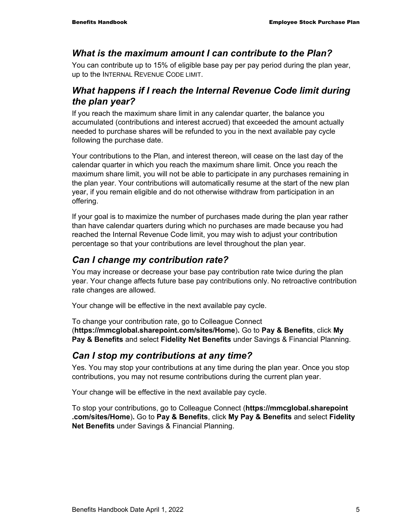#### *What is the maximum amount I can contribute to the Plan?*

You can contribute up to 15% of eligible base pay per pay period during the plan year, up to the INTERNAL REVENUE CODE LIMIT.

#### *What happens if I reach the Internal Revenue Code limit during the plan year?*

If you reach the maximum share limit in any calendar quarter, the balance you accumulated (contributions and interest accrued) that exceeded the amount actually needed to purchase shares will be refunded to you in the next available pay cycle following the purchase date.

Your contributions to the Plan, and interest thereon, will cease on the last day of the calendar quarter in which you reach the maximum share limit. Once you reach the maximum share limit, you will not be able to participate in any purchases remaining in the plan year. Your contributions will automatically resume at the start of the new plan year, if you remain eligible and do not otherwise withdraw from participation in an offering.

If your goal is to maximize the number of purchases made during the plan year rather than have calendar quarters during which no purchases are made because you had reached the Internal Revenue Code limit, you may wish to adjust your contribution percentage so that your contributions are level throughout the plan year.

## *Can I change my contribution rate?*

You may increase or decrease your base pay contribution rate twice during the plan year. Your change affects future base pay contributions only. No retroactive contribution rate changes are allowed.

Your change will be effective in the next available pay cycle.

To change your contribution rate, go to Colleague Connect (**https://mmcglobal.sharepoint.com/sites/Home**)**.** Go to **Pay & Benefits**, click **My Pay & Benefits** and select **Fidelity Net Benefits** under Savings & Financial Planning.

#### *Can I stop my contributions at any time?*

Yes. You may stop your contributions at any time during the plan year. Once you stop contributions, you may not resume contributions during the current plan year.

Your change will be effective in the next available pay cycle.

To stop your contributions, go to Colleague Connect (**https://mmcglobal.sharepoint .com/sites/Home**)**.** Go to **Pay & Benefits**, click **My Pay & Benefits** and select **Fidelity Net Benefits** under Savings & Financial Planning.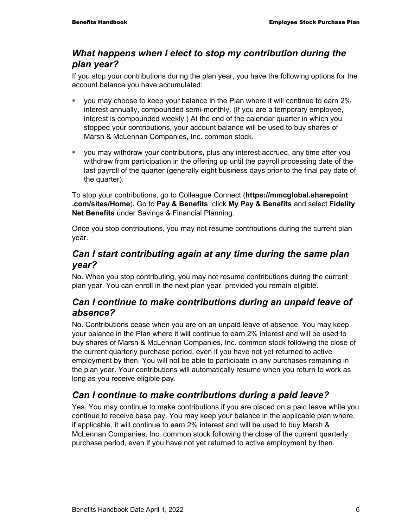## *What happens when I elect to stop my contribution during the plan year?*

If you stop your contributions during the plan year, you have the following options for the account balance you have accumulated:

- you may choose to keep your balance in the Plan where it will continue to earn 2% interest annually, compounded semi-monthly. (If you are a temporary employee, interest is compounded weekly.) At the end of the calendar quarter in which you stopped your contributions, your account balance will be used to buy shares of Marsh & McLennan Companies, Inc. common stock.
- you may withdraw your contributions, plus any interest accrued, any time after you withdraw from participation in the offering up until the payroll processing date of the last payroll of the quarter (generally eight business days prior to the final pay date of the quarter).

To stop your contributions, go to Colleague Connect (**https://mmcglobal.sharepoint .com/sites/Home**)**.** Go to **Pay & Benefits**, click **My Pay & Benefits** and select **Fidelity Net Benefits** under Savings & Financial Planning.

Once you stop contributions, you may not resume contributions during the current plan year.

## *Can I start contributing again at any time during the same plan year?*

No. When you stop contributing, you may not resume contributions during the current plan year. You can enroll in the next plan year, provided you remain eligible.

## *Can I continue to make contributions during an unpaid leave of absence?*

No. Contributions cease when you are on an unpaid leave of absence. You may keep your balance in the Plan where it will continue to earn 2% interest and will be used to buy shares of Marsh & McLennan Companies, Inc. common stock following the close of the current quarterly purchase period, even if you have not yet returned to active employment by then. You will not be able to participate in any purchases remaining in the plan year. Your contributions will automatically resume when you return to work as long as you receive eligible pay.

## *Can I continue to make contributions during a paid leave?*

Yes. You may continue to make contributions if you are placed on a paid leave while you continue to receive base pay. You may keep your balance in the applicable plan where, if applicable, it will continue to earn 2% interest and will be used to buy Marsh & McLennan Companies, Inc. common stock following the close of the current quarterly purchase period, even if you have not yet returned to active employment by then.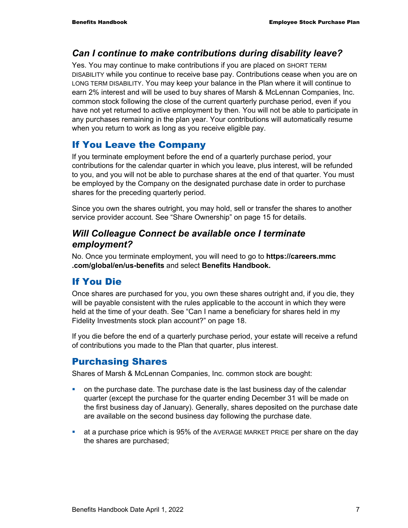#### *Can I continue to make contributions during disability leave?*

Yes. You may continue to make contributions if you are placed on SHORT TERM DISABILITY while you continue to receive base pay. Contributions cease when you are on LONG TERM DISABILITY. You may keep your balance in the Plan where it will continue to earn 2% interest and will be used to buy shares of Marsh & McLennan Companies, Inc. common stock following the close of the current quarterly purchase period, even if you have not yet returned to active employment by then. You will not be able to participate in any purchases remaining in the plan year. Your contributions will automatically resume when you return to work as long as you receive eligible pay.

## If You Leave the Company

If you terminate employment before the end of a quarterly purchase period, your contributions for the calendar quarter in which you leave, plus interest, will be refunded to you, and you will not be able to purchase shares at the end of that quarter. You must be employed by the Company on the designated purchase date in order to purchase shares for the preceding quarterly period.

Since you own the shares outright, you may hold, sell or transfer the shares to another service provider account. See "Share Ownership" on page 15 for details.

#### *Will Colleague Connect be available once I terminate employment?*

No. Once you terminate employment, you will need to go to **https://careers.mmc .com/global/en/us-benefits** and select **Benefits Handbook.**

## If You Die

Once shares are purchased for you, you own these shares outright and, if you die, they will be payable consistent with the rules applicable to the account in which they were held at the time of your death. See "Can I name a beneficiary for shares held in my Fidelity Investments stock plan account?" on page 18.

If you die before the end of a quarterly purchase period, your estate will receive a refund of contributions you made to the Plan that quarter, plus interest.

## Purchasing Shares

Shares of Marsh & McLennan Companies, Inc. common stock are bought:

- on the purchase date. The purchase date is the last business day of the calendar quarter (except the purchase for the quarter ending December 31 will be made on the first business day of January). Generally, shares deposited on the purchase date are available on the second business day following the purchase date.
- **EXECT** at a purchase price which is 95% of the AVERAGE MARKET PRICE per share on the day the shares are purchased;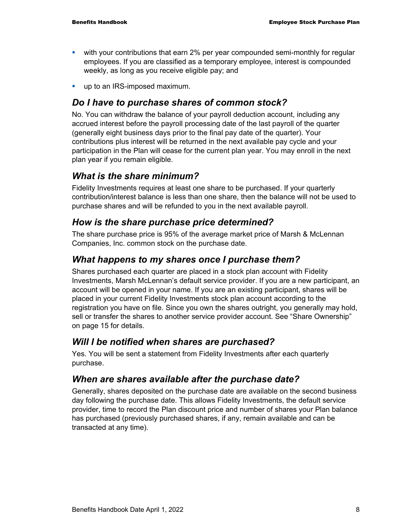- with your contributions that earn 2% per year compounded semi-monthly for regular employees. If you are classified as a temporary employee, interest is compounded weekly, as long as you receive eligible pay; and
- **up to an IRS-imposed maximum.**

#### *Do I have to purchase shares of common stock?*

No. You can withdraw the balance of your payroll deduction account, including any accrued interest before the payroll processing date of the last payroll of the quarter (generally eight business days prior to the final pay date of the quarter). Your contributions plus interest will be returned in the next available pay cycle and your participation in the Plan will cease for the current plan year. You may enroll in the next plan year if you remain eligible.

#### *What is the share minimum?*

Fidelity Investments requires at least one share to be purchased. If your quarterly contribution/interest balance is less than one share, then the balance will not be used to purchase shares and will be refunded to you in the next available payroll.

#### *How is the share purchase price determined?*

The share purchase price is 95% of the average market price of Marsh & McLennan Companies, Inc. common stock on the purchase date.

#### *What happens to my shares once I purchase them?*

Shares purchased each quarter are placed in a stock plan account with Fidelity Investments, Marsh McLennan's default service provider. If you are a new participant, an account will be opened in your name. If you are an existing participant, shares will be placed in your current Fidelity Investments stock plan account according to the registration you have on file. Since you own the shares outright, you generally may hold, sell or transfer the shares to another service provider account. See "Share Ownership" on page 15 for details.

#### *Will I be notified when shares are purchased?*

Yes. You will be sent a statement from Fidelity Investments after each quarterly purchase.

#### *When are shares available after the purchase date?*

Generally, shares deposited on the purchase date are available on the second business day following the purchase date. This allows Fidelity Investments, the default service provider, time to record the Plan discount price and number of shares your Plan balance has purchased (previously purchased shares, if any, remain available and can be transacted at any time).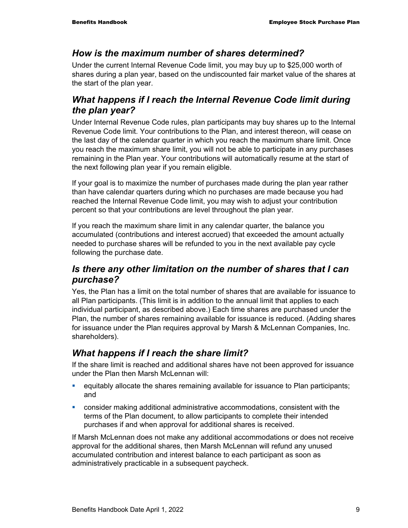#### *How is the maximum number of shares determined?*

Under the current Internal Revenue Code limit, you may buy up to \$25,000 worth of shares during a plan year, based on the undiscounted fair market value of the shares at the start of the plan year.

## *What happens if I reach the Internal Revenue Code limit during the plan year?*

Under Internal Revenue Code rules, plan participants may buy shares up to the Internal Revenue Code limit. Your contributions to the Plan, and interest thereon, will cease on the last day of the calendar quarter in which you reach the maximum share limit. Once you reach the maximum share limit, you will not be able to participate in any purchases remaining in the Plan year. Your contributions will automatically resume at the start of the next following plan year if you remain eligible.

If your goal is to maximize the number of purchases made during the plan year rather than have calendar quarters during which no purchases are made because you had reached the Internal Revenue Code limit, you may wish to adjust your contribution percent so that your contributions are level throughout the plan year.

If you reach the maximum share limit in any calendar quarter, the balance you accumulated (contributions and interest accrued) that exceeded the amount actually needed to purchase shares will be refunded to you in the next available pay cycle following the purchase date.

## *Is there any other limitation on the number of shares that I can purchase?*

Yes, the Plan has a limit on the total number of shares that are available for issuance to all Plan participants. (This limit is in addition to the annual limit that applies to each individual participant, as described above.) Each time shares are purchased under the Plan, the number of shares remaining available for issuance is reduced. (Adding shares for issuance under the Plan requires approval by Marsh & McLennan Companies, Inc. shareholders).

## *What happens if I reach the share limit?*

If the share limit is reached and additional shares have not been approved for issuance under the Plan then Marsh McLennan will:

- equitably allocate the shares remaining available for issuance to Plan participants; and
- consider making additional administrative accommodations, consistent with the terms of the Plan document, to allow participants to complete their intended purchases if and when approval for additional shares is received.

If Marsh McLennan does not make any additional accommodations or does not receive approval for the additional shares, then Marsh McLennan will refund any unused accumulated contribution and interest balance to each participant as soon as administratively practicable in a subsequent paycheck.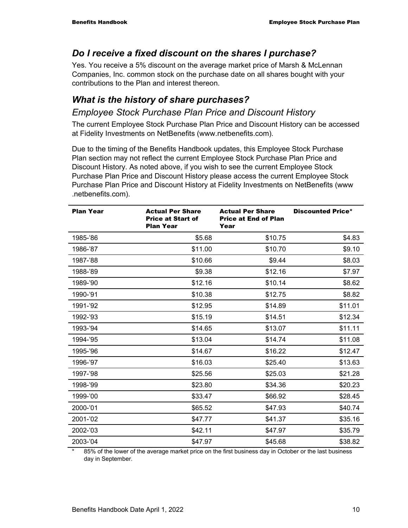## *Do I receive a fixed discount on the shares I purchase?*

Yes. You receive a 5% discount on the average market price of Marsh & McLennan Companies, Inc. common stock on the purchase date on all shares bought with your contributions to the Plan and interest thereon.

## *What is the history of share purchases?*

#### *Employee Stock Purchase Plan Price and Discount History*

The current Employee Stock Purchase Plan Price and Discount History can be accessed at Fidelity Investments on NetBenefits (www.netbenefits.com).

Due to the timing of the Benefits Handbook updates, this Employee Stock Purchase Plan section may not reflect the current Employee Stock Purchase Plan Price and Discount History. As noted above, if you wish to see the current Employee Stock Purchase Plan Price and Discount History please access the current Employee Stock Purchase Plan Price and Discount History at Fidelity Investments on NetBenefits (www .netbenefits.com).

| <b>Plan Year</b> | <b>Actual Per Share</b><br><b>Price at Start of</b><br><b>Plan Year</b> | <b>Actual Per Share</b><br><b>Price at End of Plan</b><br>Year | <b>Discounted Price*</b> |
|------------------|-------------------------------------------------------------------------|----------------------------------------------------------------|--------------------------|
| 1985-'86         | \$5.68                                                                  | \$10.75                                                        | \$4.83                   |
| 1986-'87         | \$11.00                                                                 | \$10.70                                                        | \$9.10                   |
| 1987-'88         | \$10.66                                                                 | \$9.44                                                         | \$8.03                   |
| 1988-'89         | \$9.38                                                                  | \$12.16                                                        | \$7.97                   |
| 1989-'90         | \$12.16                                                                 | \$10.14                                                        | \$8.62                   |
| 1990-'91         | \$10.38                                                                 | \$12.75                                                        | \$8.82                   |
| 1991-'92         | \$12.95                                                                 | \$14.89                                                        | \$11.01                  |
| 1992-'93         | \$15.19                                                                 | \$14.51                                                        | \$12.34                  |
| 1993-'94         | \$14.65                                                                 | \$13.07                                                        | \$11.11                  |
| 1994-'95         | \$13.04                                                                 | \$14.74                                                        | \$11.08                  |
| 1995-'96         | \$14.67                                                                 | \$16.22                                                        | \$12.47                  |
| 1996-'97         | \$16.03                                                                 | \$25.40                                                        | \$13.63                  |
| 1997-'98         | \$25.56                                                                 | \$25.03                                                        | \$21.28                  |
| 1998-'99         | \$23.80                                                                 | \$34.36                                                        | \$20.23                  |
| 1999-'00         | \$33.47                                                                 | \$66.92                                                        | \$28.45                  |
| 2000-'01         | \$65.52                                                                 | \$47.93                                                        | \$40.74                  |
| 2001-'02         | \$47.77                                                                 | \$41.37                                                        | \$35.16                  |
| 2002-'03         | \$42.11                                                                 | \$47.97                                                        | \$35.79                  |
| 2003-'04         | \$47.97                                                                 | \$45.68                                                        | \$38.82                  |

85% of the lower of the average market price on the first business day in October or the last business day in September.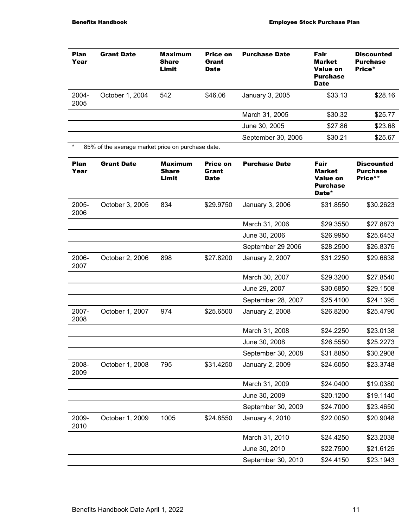| Plan<br>Year        | <b>Grant Date</b>                                 | Maximum<br>Share<br><b>Limit</b>        | <b>Price on</b><br>Grant<br><b>Date</b> | <b>Purchase Date</b>   | Fair<br><b>Market</b><br><b>Value on</b><br><b>Purchase</b><br><b>Date</b> | Discounted<br><b>Purchase</b><br>Price*         |
|---------------------|---------------------------------------------------|-----------------------------------------|-----------------------------------------|------------------------|----------------------------------------------------------------------------|-------------------------------------------------|
| 2004-<br>2005       | October 1, 2004                                   | 542                                     | \$46.06                                 | January 3, 2005        | \$33.13                                                                    | \$28.16                                         |
|                     |                                                   |                                         |                                         | March 31, 2005         | \$30.32                                                                    | \$25.77                                         |
|                     |                                                   |                                         |                                         | June 30, 2005          | \$27.86                                                                    | \$23.68                                         |
|                     |                                                   |                                         |                                         | September 30, 2005     | \$30.21                                                                    | \$25.67                                         |
| $\star$             | 85% of the average market price on purchase date. |                                         |                                         |                        |                                                                            |                                                 |
| <b>Plan</b><br>Year | <b>Grant Date</b>                                 | <b>Maximum</b><br><b>Share</b><br>Limit | Price on<br>Grant<br><b>Date</b>        | <b>Purchase Date</b>   | Fair<br>Market<br>Value on<br><b>Purchase</b><br>Date*                     | <b>Discounted</b><br><b>Purchase</b><br>Price** |
| 2005-<br>2006       | October 3, 2005                                   | 834                                     | \$29.9750                               | January 3, 2006        | \$31.8550                                                                  | \$30.2623                                       |
|                     |                                                   |                                         |                                         | March 31, 2006         | \$29.3550                                                                  | \$27.8873                                       |
|                     |                                                   |                                         |                                         | June 30, 2006          | \$26.9950                                                                  | \$25.6453                                       |
|                     |                                                   |                                         |                                         | September 29 2006      | \$28.2500                                                                  | \$26.8375                                       |
| 2006-<br>2007       | October 2, 2006                                   | 898                                     | \$27.8200                               | January 2, 2007        | \$31.2250                                                                  | \$29.6638                                       |
|                     |                                                   |                                         |                                         | March 30, 2007         | \$29.3200                                                                  | \$27.8540                                       |
|                     |                                                   |                                         |                                         | June 29, 2007          | \$30.6850                                                                  | \$29.1508                                       |
|                     |                                                   |                                         |                                         | September 28, 2007     | \$25.4100                                                                  | \$24.1395                                       |
| 2007-<br>2008       | October 1, 2007                                   | 974                                     | \$25.6500                               | <b>January 2, 2008</b> | \$26.8200                                                                  | \$25.4790                                       |
|                     |                                                   |                                         |                                         | March 31, 2008         | \$24.2250                                                                  | \$23.0138                                       |
|                     |                                                   |                                         |                                         | June 30, 2008          | \$26.5550                                                                  | \$25.2273                                       |
|                     |                                                   |                                         |                                         | September 30, 2008     | \$31.8850                                                                  | \$30.2908                                       |
| 2008-<br>2009       | October 1, 2008                                   | 795                                     | \$31.4250                               | January 2, 2009        | \$24.6050                                                                  | \$23.3748                                       |
|                     |                                                   |                                         |                                         | March 31, 2009         | \$24.0400                                                                  | \$19.0380                                       |
|                     |                                                   |                                         |                                         | June 30, 2009          | \$20.1200                                                                  | \$19.1140                                       |
|                     |                                                   |                                         |                                         | September 30, 2009     | \$24.7000                                                                  | \$23.4650                                       |
| 2009-<br>2010       | October 1, 2009                                   | 1005                                    | \$24.8550                               | January 4, 2010        | \$22.0050                                                                  | \$20.9048                                       |
|                     |                                                   |                                         |                                         | March 31, 2010         | \$24.4250                                                                  | \$23.2038                                       |
|                     |                                                   |                                         |                                         | June 30, 2010          | \$22.7500                                                                  | \$21.6125                                       |
|                     |                                                   |                                         |                                         | September 30, 2010     | \$24.4150                                                                  | \$23.1943                                       |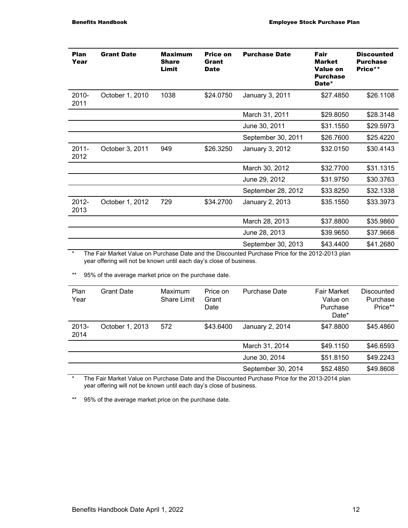| Plan<br>Year     | <b>Grant Date</b> | <b>Maximum</b><br><b>Share</b><br>Limit | Price on<br>Grant<br><b>Date</b> | <b>Purchase Date</b> | Fair<br><b>Market</b><br><b>Value on</b><br><b>Purchase</b><br>Date* | <b>Discounted</b><br><b>Purchase</b><br>Price** |
|------------------|-------------------|-----------------------------------------|----------------------------------|----------------------|----------------------------------------------------------------------|-------------------------------------------------|
| 2010-<br>2011    | October 1, 2010   | 1038                                    | \$24.0750                        | January 3, 2011      | \$27.4850                                                            | \$26.1108                                       |
|                  |                   |                                         |                                  | March 31, 2011       | \$29.8050                                                            | \$28.3148                                       |
|                  |                   |                                         |                                  | June 30, 2011        | \$31.1550                                                            | \$29.5973                                       |
|                  |                   |                                         |                                  | September 30, 2011   | \$26.7600                                                            | \$25.4220                                       |
| 2011-<br>2012    | October 3, 2011   | 949                                     | \$26,3250                        | January 3, 2012      | \$32.0150                                                            | \$30.4143                                       |
|                  |                   |                                         |                                  | March 30, 2012       | \$32.7700                                                            | \$31.1315                                       |
|                  |                   |                                         |                                  | June 29, 2012        | \$31.9750                                                            | \$30.3763                                       |
|                  |                   |                                         |                                  | September 28, 2012   | \$33.8250                                                            | \$32.1338                                       |
| $2012 -$<br>2013 | October 1, 2012   | 729                                     | \$34.2700                        | January 2, 2013      | \$35.1550                                                            | \$33.3973                                       |
|                  |                   |                                         |                                  | March 28, 2013       | \$37.8800                                                            | \$35.9860                                       |
|                  |                   |                                         |                                  | June 28, 2013        | \$39.9650                                                            | \$37.9668                                       |
|                  |                   |                                         |                                  | September 30, 2013   | \$43.4400                                                            | \$41.2680                                       |

\* The Fair Market Value on Purchase Date and the Discounted Purchase Price for the 2012-2013 plan year offering will not be known until each day's close of business.

\*\* 95% of the average market price on the purchase date.

| Plan<br>Year  | <b>Grant Date</b> | Maximum<br>Share Limit | Price on<br>Grant<br>Date | Purchase Date      | <b>Fair Market</b><br>Value on<br>Purchase<br>Date* | Discounted<br>Purchase<br>Price** |
|---------------|-------------------|------------------------|---------------------------|--------------------|-----------------------------------------------------|-----------------------------------|
| 2013-<br>2014 | October 1, 2013   | 572                    | \$43.6400                 | January 2, 2014    | \$47.8800                                           | \$45.4860                         |
|               |                   |                        |                           | March 31, 2014     | \$49.1150                                           | \$46.6593                         |
|               |                   |                        |                           | June 30, 2014      | \$51.8150                                           | \$49.2243                         |
|               |                   |                        |                           | September 30, 2014 | \$52.4850                                           | \$49.8608                         |

\* The Fair Market Value on Purchase Date and the Discounted Purchase Price for the 2013-2014 plan year offering will not be known until each day's close of business.

\*\* 95% of the average market price on the purchase date.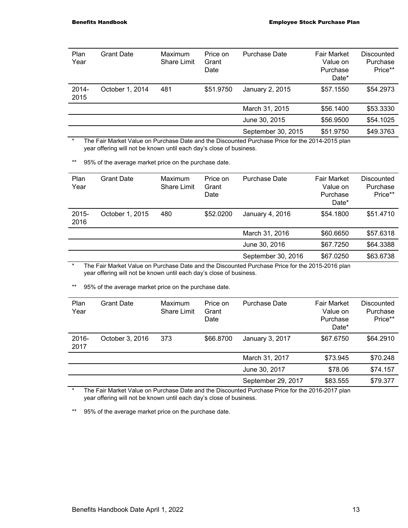| Plan<br>Year     | <b>Grant Date</b> | Maximum<br><b>Share Limit</b> | Price on<br>Grant<br>Date | <b>Purchase Date</b> | <b>Fair Market</b><br>Value on<br>Purchase<br>Date* | Discounted<br>Purchase<br>Price** |
|------------------|-------------------|-------------------------------|---------------------------|----------------------|-----------------------------------------------------|-----------------------------------|
| $2014 -$<br>2015 | October 1, 2014   | 481                           | \$51.9750                 | January 2, 2015      | \$57.1550                                           | \$54,2973                         |
|                  |                   |                               |                           | March 31, 2015       | \$56.1400                                           | \$53.3330                         |
|                  |                   |                               |                           | June 30, 2015        | \$56.9500                                           | \$54.1025                         |
|                  |                   |                               |                           | September 30, 2015   | \$51.9750                                           | \$49.3763                         |

\* The Fair Market Value on Purchase Date and the Discounted Purchase Price for the 2014-2015 plan year offering will not be known until each day's close of business.

\*\* 95% of the average market price on the purchase date.

| Plan<br>Year     | <b>Grant Date</b> | Maximum<br><b>Share Limit</b> | Price on<br>Grant<br>Date | <b>Purchase Date</b> | Fair Market<br>Value on<br>Purchase<br>Date* | Discounted<br>Purchase<br>Price** |
|------------------|-------------------|-------------------------------|---------------------------|----------------------|----------------------------------------------|-----------------------------------|
| $2015 -$<br>2016 | October 1, 2015   | 480                           | \$52,0200                 | January 4, 2016      | \$54.1800                                    | \$51.4710                         |
|                  |                   |                               |                           | March 31, 2016       | \$60.6650                                    | \$57.6318                         |
|                  |                   |                               |                           | June 30, 2016        | \$67.7250                                    | \$64.3388                         |
|                  |                   |                               |                           | September 30, 2016   | \$67.0250                                    | \$63.6738                         |
|                  |                   |                               |                           |                      |                                              |                                   |

\* The Fair Market Value on Purchase Date and the Discounted Purchase Price for the 2015-2016 plan year offering will not be known until each day's close of business.

\*\* 95% of the average market price on the purchase date.

| Plan<br>Year  | <b>Grant Date</b> | Maximum<br><b>Share Limit</b> | Price on<br>Grant<br>Date | <b>Purchase Date</b> | <b>Fair Market</b><br>Value on<br>Purchase<br>Date* | Discounted<br>Purchase<br>Price** |
|---------------|-------------------|-------------------------------|---------------------------|----------------------|-----------------------------------------------------|-----------------------------------|
| 2016-<br>2017 | October 3, 2016   | 373                           | \$66.8700                 | January 3, 2017      | \$67.6750                                           | \$64.2910                         |
|               |                   |                               |                           | March 31, 2017       | \$73.945                                            | \$70.248                          |
|               |                   |                               |                           | June 30, 2017        | \$78.06                                             | \$74.157                          |
|               |                   |                               |                           | September 29, 2017   | \$83.555                                            | \$79.377                          |

\* The Fair Market Value on Purchase Date and the Discounted Purchase Price for the 2016-2017 plan year offering will not be known until each day's close of business.

\*\* 95% of the average market price on the purchase date.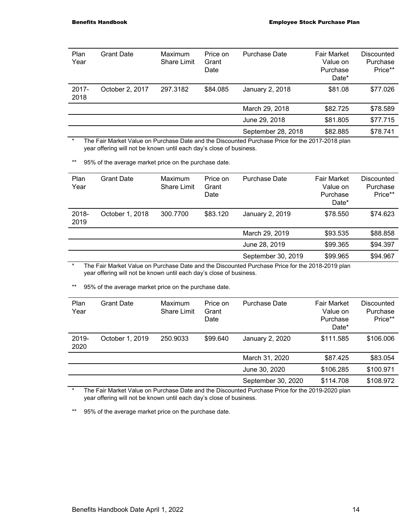| Plan<br>Year     | <b>Grant Date</b> | Maximum<br>Share Limit | Price on<br>Grant<br>Date | <b>Purchase Date</b> | <b>Fair Market</b><br>Value on<br>Purchase<br>Date* | Discounted<br>Purchase<br>Price** |
|------------------|-------------------|------------------------|---------------------------|----------------------|-----------------------------------------------------|-----------------------------------|
| $2017 -$<br>2018 | October 2, 2017   | 297.3182               | \$84.085                  | January 2, 2018      | \$81.08                                             | \$77.026                          |
|                  |                   |                        |                           | March 29, 2018       | \$82.725                                            | \$78.589                          |
|                  |                   |                        |                           | June 29, 2018        | \$81.805                                            | \$77.715                          |
|                  |                   |                        |                           | September 28, 2018   | \$82.885                                            | \$78.741                          |

\* The Fair Market Value on Purchase Date and the Discounted Purchase Price for the 2017-2018 plan year offering will not be known until each day's close of business.

\*\* 95% of the average market price on the purchase date.

| Plan<br>Year  | Grant Date      | Maximum<br><b>Share Limit</b> | Price on<br>Grant<br>Date | Purchase Date      | <b>Fair Market</b><br>Value on<br>Purchase<br>Date* | Discounted<br>Purchase<br>Price** |
|---------------|-----------------|-------------------------------|---------------------------|--------------------|-----------------------------------------------------|-----------------------------------|
| 2018-<br>2019 | October 1, 2018 | 300.7700                      | \$83,120                  | January 2, 2019    | \$78.550                                            | \$74.623                          |
|               |                 |                               |                           | March 29, 2019     | \$93.535                                            | \$88.858                          |
|               |                 |                               |                           | June 28, 2019      | \$99.365                                            | \$94.397                          |
|               |                 |                               |                           | September 30, 2019 | \$99.965                                            | \$94.967                          |

\* The Fair Market Value on Purchase Date and the Discounted Purchase Price for the 2018-2019 plan year offering will not be known until each day's close of business.

\*\* 95% of the average market price on the purchase date.

| Plan<br>Year     | <b>Grant Date</b> | <b>Maximum</b><br>Share Limit | Price on<br>Grant<br>Date | <b>Purchase Date</b> | <b>Fair Market</b><br>Value on<br>Purchase<br>Date* | Discounted<br>Purchase<br>Price** |
|------------------|-------------------|-------------------------------|---------------------------|----------------------|-----------------------------------------------------|-----------------------------------|
| $2019 -$<br>2020 | October 1, 2019   | 250.9033                      | \$99,640                  | January 2, 2020      | \$111.585                                           | \$106.006                         |
|                  |                   |                               |                           | March 31, 2020       | \$87.425                                            | \$83.054                          |
|                  |                   |                               |                           | June 30, 2020        | \$106.285                                           | \$100.971                         |
|                  |                   |                               |                           | September 30, 2020   | \$114.708                                           | \$108.972                         |

\* The Fair Market Value on Purchase Date and the Discounted Purchase Price for the 2019-2020 plan year offering will not be known until each day's close of business.

\*\* 95% of the average market price on the purchase date.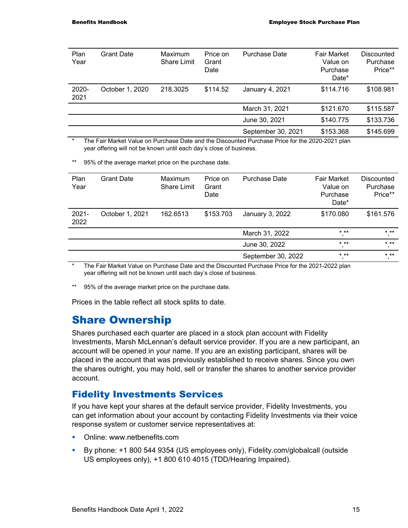| Plan<br>Year  | Grant Date      | Maximum<br><b>Share Limit</b> | Price on<br>Grant<br>Date | <b>Purchase Date</b> | <b>Fair Market</b><br>Value on<br>Purchase<br>Date* | Discounted<br>Purchase<br>Price** |
|---------------|-----------------|-------------------------------|---------------------------|----------------------|-----------------------------------------------------|-----------------------------------|
| 2020-<br>2021 | October 1, 2020 | 218.3025                      | \$114.52                  | January 4, 2021      | \$114.716                                           | \$108.981                         |
|               |                 |                               |                           | March 31, 2021       | \$121.670                                           | \$115.587                         |
|               |                 |                               |                           | June 30, 2021        | \$140.775                                           | \$133.736                         |
|               |                 |                               |                           | September 30, 2021   | \$153.368                                           | \$145.699                         |

The Fair Market Value on Purchase Date and the Discounted Purchase Price for the 2020-2021 plan year offering will not be known until each day's close of business.

\*\* 95% of the average market price on the purchase date.

| Plan<br>Year     | <b>Grant Date</b> | Maximum<br><b>Share Limit</b> | Price on<br>Grant<br>Date | <b>Purchase Date</b> | <b>Fair Market</b><br>Value on<br>Purchase<br>Date* | Discounted<br>Purchase<br>Price** |
|------------------|-------------------|-------------------------------|---------------------------|----------------------|-----------------------------------------------------|-----------------------------------|
| $2021 -$<br>2022 | October 1, 2021   | 162.6513                      | \$153.703                 | January 3, 2022      | \$170.080                                           | \$161.576                         |
|                  |                   |                               |                           | March 31, 2022       | $***$                                               | $* * *$                           |
|                  |                   |                               |                           | June 30, 2022        | $***$<br>л,                                         | $***$                             |
|                  |                   |                               |                           | September 30, 2022   | $***$                                               | $***$                             |

\* The Fair Market Value on Purchase Date and the Discounted Purchase Price for the 2021-2022 plan year offering will not be known until each day's close of business.

\*\* 95% of the average market price on the purchase date.

Prices in the table reflect all stock splits to date.

## Share Ownership

Shares purchased each quarter are placed in a stock plan account with Fidelity Investments, Marsh McLennan's default service provider. If you are a new participant, an account will be opened in your name. If you are an existing participant, shares will be placed in the account that was previously established to receive shares. Since you own the shares outright, you may hold, sell or transfer the shares to another service provider account.

#### Fidelity Investments Services

If you have kept your shares at the default service provider, Fidelity Investments, you can get information about your account by contacting Fidelity Investments via their voice response system or customer service representatives at:

- Online: www.netbenefits.com
- By phone: +1 800 544 9354 (US employees only), Fidelity.com/globalcall (outside US employees only), +1 800 610 4015 (TDD/Hearing Impaired).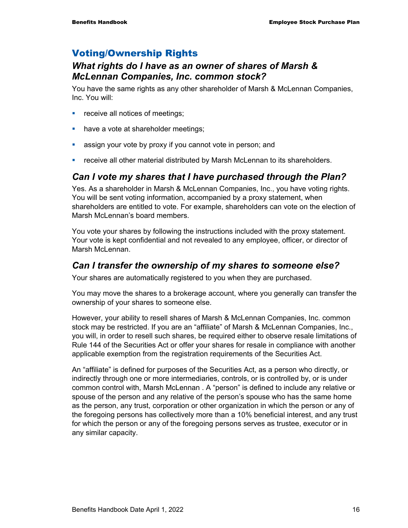## Voting/Ownership Rights

#### *What rights do I have as an owner of shares of Marsh & McLennan Companies, Inc. common stock?*

You have the same rights as any other shareholder of Marsh & McLennan Companies, Inc. You will:

- **•** receive all notices of meetings;
- have a vote at shareholder meetings;
- **EXT** assign your vote by proxy if you cannot vote in person; and
- **•** receive all other material distributed by Marsh McLennan to its shareholders.

## *Can I vote my shares that I have purchased through the Plan?*

Yes. As a shareholder in Marsh & McLennan Companies, Inc., you have voting rights. You will be sent voting information, accompanied by a proxy statement, when shareholders are entitled to vote. For example, shareholders can vote on the election of Marsh McLennan's board members.

You vote your shares by following the instructions included with the proxy statement. Your vote is kept confidential and not revealed to any employee, officer, or director of Marsh McLennan.

#### *Can I transfer the ownership of my shares to someone else?*

Your shares are automatically registered to you when they are purchased.

You may move the shares to a brokerage account, where you generally can transfer the ownership of your shares to someone else.

However, your ability to resell shares of Marsh & McLennan Companies, Inc. common stock may be restricted. If you are an "affiliate" of Marsh & McLennan Companies, Inc., you will, in order to resell such shares, be required either to observe resale limitations of Rule 144 of the Securities Act or offer your shares for resale in compliance with another applicable exemption from the registration requirements of the Securities Act.

An "affiliate" is defined for purposes of the Securities Act, as a person who directly, or indirectly through one or more intermediaries, controls, or is controlled by, or is under common control with, Marsh McLennan . A "person" is defined to include any relative or spouse of the person and any relative of the person's spouse who has the same home as the person, any trust, corporation or other organization in which the person or any of the foregoing persons has collectively more than a 10% beneficial interest, and any trust for which the person or any of the foregoing persons serves as trustee, executor or in any similar capacity.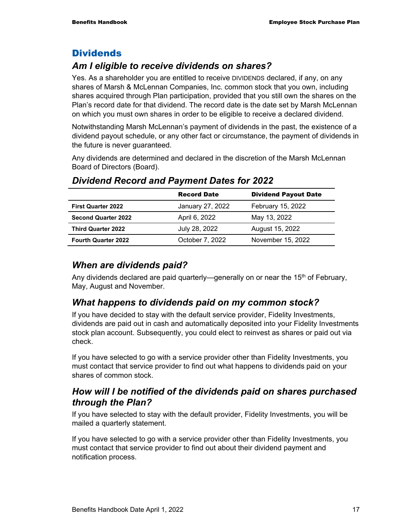#### **Dividends**

## *Am I eligible to receive dividends on shares?*

Yes. As a shareholder you are entitled to receive DIVIDENDS declared, if any, on any shares of Marsh & McLennan Companies, Inc. common stock that you own, including shares acquired through Plan participation, provided that you still own the shares on the Plan's record date for that dividend. The record date is the date set by Marsh McLennan on which you must own shares in order to be eligible to receive a declared dividend.

Notwithstanding Marsh McLennan's payment of dividends in the past, the existence of a dividend payout schedule, or any other fact or circumstance, the payment of dividends in the future is never guaranteed.

Any dividends are determined and declared in the discretion of the Marsh McLennan Board of Directors (Board).

|                            | <b>Record Date</b> | <b>Dividend Payout Date</b> |
|----------------------------|--------------------|-----------------------------|
| <b>First Quarter 2022</b>  | January 27, 2022   | February 15, 2022           |
| <b>Second Quarter 2022</b> | April 6, 2022      | May 13, 2022                |
| <b>Third Quarter 2022</b>  | July 28, 2022      | August 15, 2022             |
| <b>Fourth Quarter 2022</b> | October 7, 2022    | November 15, 2022           |

## *Dividend Record and Payment Dates for 2022*

#### *When are dividends paid?*

Any dividends declared are paid quarterly—generally on or near the 15<sup>th</sup> of February, May, August and November.

## *What happens to dividends paid on my common stock?*

If you have decided to stay with the default service provider, Fidelity Investments, dividends are paid out in cash and automatically deposited into your Fidelity Investments stock plan account. Subsequently, you could elect to reinvest as shares or paid out via check.

If you have selected to go with a service provider other than Fidelity Investments, you must contact that service provider to find out what happens to dividends paid on your shares of common stock.

#### *How will I be notified of the dividends paid on shares purchased through the Plan?*

If you have selected to stay with the default provider, Fidelity Investments, you will be mailed a quarterly statement.

If you have selected to go with a service provider other than Fidelity Investments, you must contact that service provider to find out about their dividend payment and notification process.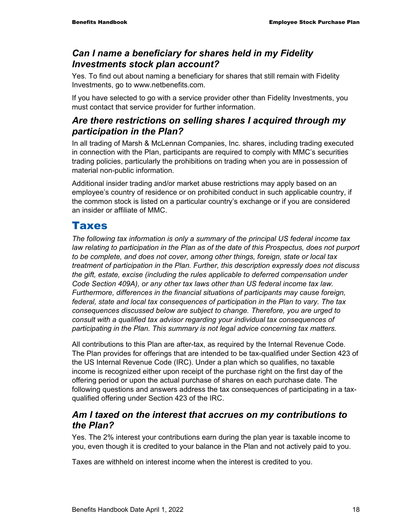## *Can I name a beneficiary for shares held in my Fidelity Investments stock plan account?*

Yes. To find out about naming a beneficiary for shares that still remain with Fidelity Investments, go to www.netbenefits.com.

If you have selected to go with a service provider other than Fidelity Investments, you must contact that service provider for further information.

#### *Are there restrictions on selling shares I acquired through my participation in the Plan?*

In all trading of Marsh & McLennan Companies, Inc. shares, including trading executed in connection with the Plan, participants are required to comply with MMC's securities trading policies, particularly the prohibitions on trading when you are in possession of material non-public information.

Additional insider trading and/or market abuse restrictions may apply based on an employee's country of residence or on prohibited conduct in such applicable country, if the common stock is listed on a particular country's exchange or if you are considered an insider or affiliate of MMC.

## Taxes

*The following tax information is only a summary of the principal US federal income tax*  law relating to participation in the Plan as of the date of this Prospectus, does not purport *to be complete, and does not cover, among other things, foreign, state or local tax treatment of participation in the Plan. Further, this description expressly does not discuss the gift, estate, excise (including the rules applicable to deferred compensation under Code Section 409A), or any other tax laws other than US federal income tax law. Furthermore, differences in the financial situations of participants may cause foreign, federal, state and local tax consequences of participation in the Plan to vary. The tax consequences discussed below are subject to change. Therefore, you are urged to consult with a qualified tax advisor regarding your individual tax consequences of participating in the Plan. This summary is not legal advice concerning tax matters.* 

All contributions to this Plan are after-tax, as required by the Internal Revenue Code. The Plan provides for offerings that are intended to be tax-qualified under Section 423 of the US Internal Revenue Code (IRC). Under a plan which so qualifies, no taxable income is recognized either upon receipt of the purchase right on the first day of the offering period or upon the actual purchase of shares on each purchase date. The following questions and answers address the tax consequences of participating in a taxqualified offering under Section 423 of the IRC.

#### *Am I taxed on the interest that accrues on my contributions to the Plan?*

Yes. The 2% interest your contributions earn during the plan year is taxable income to you, even though it is credited to your balance in the Plan and not actively paid to you.

Taxes are withheld on interest income when the interest is credited to you.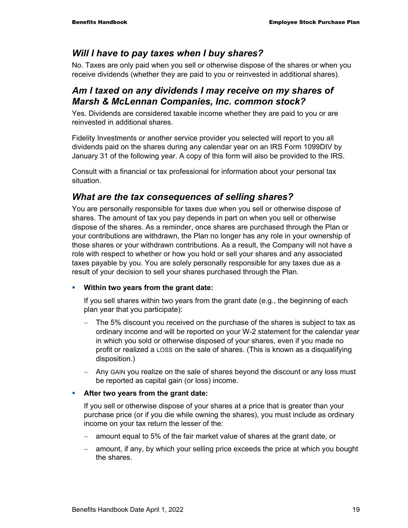#### *Will I have to pay taxes when I buy shares?*

No. Taxes are only paid when you sell or otherwise dispose of the shares or when you receive dividends (whether they are paid to you or reinvested in additional shares).

#### *Am I taxed on any dividends I may receive on my shares of Marsh & McLennan Companies, Inc. common stock?*

Yes. Dividends are considered taxable income whether they are paid to you or are reinvested in additional shares.

Fidelity Investments or another service provider you selected will report to you all dividends paid on the shares during any calendar year on an IRS Form 1099DIV by January 31 of the following year. A copy of this form will also be provided to the IRS.

Consult with a financial or tax professional for information about your personal tax situation.

#### *What are the tax consequences of selling shares?*

You are personally responsible for taxes due when you sell or otherwise dispose of shares. The amount of tax you pay depends in part on when you sell or otherwise dispose of the shares. As a reminder, once shares are purchased through the Plan or your contributions are withdrawn, the Plan no longer has any role in your ownership of those shares or your withdrawn contributions. As a result, the Company will not have a role with respect to whether or how you hold or sell your shares and any associated taxes payable by you. You are solely personally responsible for any taxes due as a result of your decision to sell your shares purchased through the Plan.

#### **Within two years from the grant date:**

If you sell shares within two years from the grant date (e.g., the beginning of each plan year that you participate):

- The 5% discount you received on the purchase of the shares is subject to tax as ordinary income and will be reported on your W-2 statement for the calendar year in which you sold or otherwise disposed of your shares, even if you made no profit or realized a LOSS on the sale of shares. (This is known as a disqualifying disposition.)
- − Any GAIN you realize on the sale of shares beyond the discount or any loss must be reported as capital gain (or loss) income.

#### **After two years from the grant date:**

If you sell or otherwise dispose of your shares at a price that is greater than your purchase price (or if you die while owning the shares), you must include as ordinary income on your tax return the lesser of the:

- amount equal to 5% of the fair market value of shares at the grant date, or
- amount, if any, by which your selling price exceeds the price at which you bought the shares.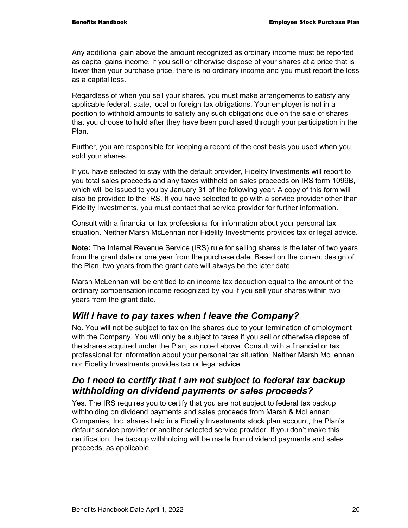Any additional gain above the amount recognized as ordinary income must be reported as capital gains income. If you sell or otherwise dispose of your shares at a price that is lower than your purchase price, there is no ordinary income and you must report the loss as a capital loss.

Regardless of when you sell your shares, you must make arrangements to satisfy any applicable federal, state, local or foreign tax obligations. Your employer is not in a position to withhold amounts to satisfy any such obligations due on the sale of shares that you choose to hold after they have been purchased through your participation in the Plan.

Further, you are responsible for keeping a record of the cost basis you used when you sold your shares.

If you have selected to stay with the default provider, Fidelity Investments will report to you total sales proceeds and any taxes withheld on sales proceeds on IRS form 1099B, which will be issued to you by January 31 of the following year. A copy of this form will also be provided to the IRS. If you have selected to go with a service provider other than Fidelity Investments, you must contact that service provider for further information.

Consult with a financial or tax professional for information about your personal tax situation. Neither Marsh McLennan nor Fidelity Investments provides tax or legal advice.

**Note:** The Internal Revenue Service (IRS) rule for selling shares is the later of two years from the grant date or one year from the purchase date. Based on the current design of the Plan, two years from the grant date will always be the later date.

Marsh McLennan will be entitled to an income tax deduction equal to the amount of the ordinary compensation income recognized by you if you sell your shares within two years from the grant date.

## *Will I have to pay taxes when I leave the Company?*

No. You will not be subject to tax on the shares due to your termination of employment with the Company. You will only be subject to taxes if you sell or otherwise dispose of the shares acquired under the Plan, as noted above. Consult with a financial or tax professional for information about your personal tax situation. Neither Marsh McLennan nor Fidelity Investments provides tax or legal advice.

## *Do I need to certify that I am not subject to federal tax backup withholding on dividend payments or sales proceeds?*

Yes. The IRS requires you to certify that you are not subject to federal tax backup withholding on dividend payments and sales proceeds from Marsh & McLennan Companies, Inc. shares held in a Fidelity Investments stock plan account, the Plan's default service provider or another selected service provider. If you don't make this certification, the backup withholding will be made from dividend payments and sales proceeds, as applicable.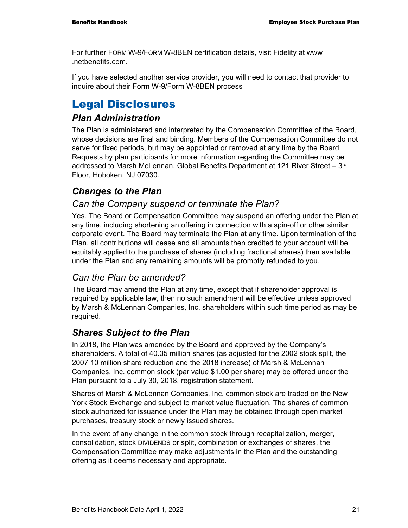For further FORM W-9/FORM W-8BEN certification details, visit Fidelity at www .netbenefits.com.

If you have selected another service provider, you will need to contact that provider to inquire about their Form W-9/Form W-8BEN process

## Legal Disclosures

#### *Plan Administration*

The Plan is administered and interpreted by the Compensation Committee of the Board, whose decisions are final and binding. Members of the Compensation Committee do not serve for fixed periods, but may be appointed or removed at any time by the Board. Requests by plan participants for more information regarding the Committee may be addressed to Marsh McLennan, Global Benefits Department at 121 River Street – 3<sup>rd</sup> Floor, Hoboken, NJ 07030.

## *Changes to the Plan*

#### *Can the Company suspend or terminate the Plan?*

Yes. The Board or Compensation Committee may suspend an offering under the Plan at any time, including shortening an offering in connection with a spin-off or other similar corporate event. The Board may terminate the Plan at any time. Upon termination of the Plan, all contributions will cease and all amounts then credited to your account will be equitably applied to the purchase of shares (including fractional shares) then available under the Plan and any remaining amounts will be promptly refunded to you.

## *Can the Plan be amended?*

The Board may amend the Plan at any time, except that if shareholder approval is required by applicable law, then no such amendment will be effective unless approved by Marsh & McLennan Companies, Inc. shareholders within such time period as may be required.

## *Shares Subject to the Plan*

In 2018, the Plan was amended by the Board and approved by the Company's shareholders. A total of 40.35 million shares (as adjusted for the 2002 stock split, the 2007 10 million share reduction and the 2018 increase) of Marsh & McLennan Companies, Inc. common stock (par value \$1.00 per share) may be offered under the Plan pursuant to a July 30, 2018, registration statement.

Shares of Marsh & McLennan Companies, Inc. common stock are traded on the New York Stock Exchange and subject to market value fluctuation. The shares of common stock authorized for issuance under the Plan may be obtained through open market purchases, treasury stock or newly issued shares.

In the event of any change in the common stock through recapitalization, merger, consolidation, stock DIVIDENDS or split, combination or exchanges of shares, the Compensation Committee may make adjustments in the Plan and the outstanding offering as it deems necessary and appropriate.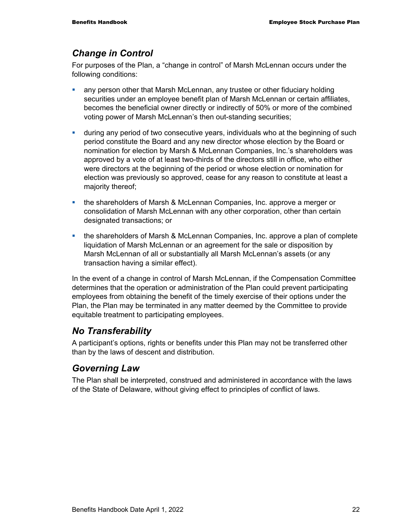#### *Change in Control*

For purposes of the Plan, a "change in control" of Marsh McLennan occurs under the following conditions:

- any person other that Marsh McLennan, any trustee or other fiduciary holding securities under an employee benefit plan of Marsh McLennan or certain affiliates, becomes the beneficial owner directly or indirectly of 50% or more of the combined voting power of Marsh McLennan's then out-standing securities;
- during any period of two consecutive years, individuals who at the beginning of such period constitute the Board and any new director whose election by the Board or nomination for election by Marsh & McLennan Companies, Inc.'s shareholders was approved by a vote of at least two-thirds of the directors still in office, who either were directors at the beginning of the period or whose election or nomination for election was previously so approved, cease for any reason to constitute at least a majority thereof;
- the shareholders of Marsh & McLennan Companies, Inc. approve a merger or consolidation of Marsh McLennan with any other corporation, other than certain designated transactions; or
- the shareholders of Marsh & McLennan Companies, Inc. approve a plan of complete liquidation of Marsh McLennan or an agreement for the sale or disposition by Marsh McLennan of all or substantially all Marsh McLennan's assets (or any transaction having a similar effect).

In the event of a change in control of Marsh McLennan, if the Compensation Committee determines that the operation or administration of the Plan could prevent participating employees from obtaining the benefit of the timely exercise of their options under the Plan, the Plan may be terminated in any matter deemed by the Committee to provide equitable treatment to participating employees.

## *No Transferability*

A participant's options, rights or benefits under this Plan may not be transferred other than by the laws of descent and distribution.

## *Governing Law*

The Plan shall be interpreted, construed and administered in accordance with the laws of the State of Delaware, without giving effect to principles of conflict of laws.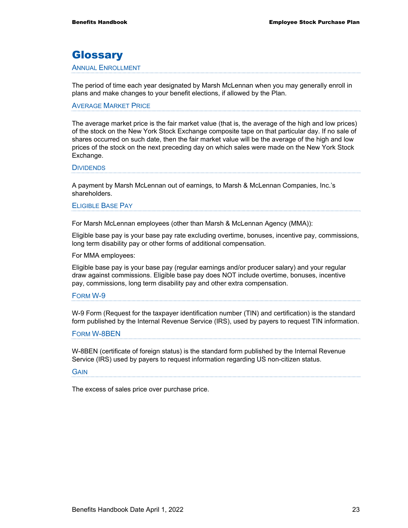## **Glossary**

#### ANNUAL ENROLLMENT

The period of time each year designated by Marsh McLennan when you may generally enroll in plans and make changes to your benefit elections, if allowed by the Plan.

#### AVERAGE MARKET PRICE

The average market price is the fair market value (that is, the average of the high and low prices) of the stock on the New York Stock Exchange composite tape on that particular day. If no sale of shares occurred on such date, then the fair market value will be the average of the high and low prices of the stock on the next preceding day on which sales were made on the New York Stock Exchange.

#### **DIVIDENDS**

A payment by Marsh McLennan out of earnings, to Marsh & McLennan Companies, Inc.'s shareholders.

#### ELIGIBLE BASE PAY

For Marsh McLennan employees (other than Marsh & McLennan Agency (MMA)):

Eligible base pay is your base pay rate excluding overtime, bonuses, incentive pay, commissions, long term disability pay or other forms of additional compensation.

For MMA employees:

Eligible base pay is your base pay (regular earnings and/or producer salary) and your regular draw against commissions. Eligible base pay does NOT include overtime, bonuses, incentive pay, commissions, long term disability pay and other extra compensation.

#### FORM W-9

W-9 Form (Request for the taxpayer identification number (TIN) and certification) is the standard form published by the Internal Revenue Service (IRS), used by payers to request TIN information.

#### FORM W-8BEN

W-8BEN (certificate of foreign status) is the standard form published by the Internal Revenue Service (IRS) used by payers to request information regarding US non-citizen status.

#### **GAIN**

The excess of sales price over purchase price.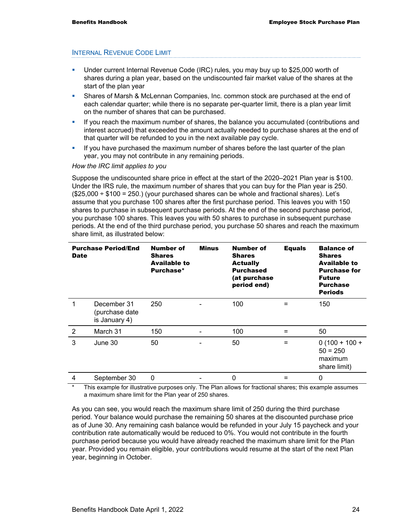#### INTERNAL REVENUE CODE LIMIT

- Under current Internal Revenue Code (IRC) rules, you may buy up to \$25,000 worth of shares during a plan year, based on the undiscounted fair market value of the shares at the start of the plan year
- Shares of Marsh & McLennan Companies, Inc. common stock are purchased at the end of each calendar quarter; while there is no separate per-quarter limit, there is a plan year limit on the number of shares that can be purchased.
- If you reach the maximum number of shares, the balance you accumulated (contributions and interest accrued) that exceeded the amount actually needed to purchase shares at the end of that quarter will be refunded to you in the next available pay cycle.
- If you have purchased the maximum number of shares before the last quarter of the plan year, you may not contribute in any remaining periods.

#### *How the IRC limit applies to you*

Suppose the undiscounted share price in effect at the start of the 2020–2021 Plan year is \$100. Under the IRS rule, the maximum number of shares that you can buy for the Plan year is 250.  $(\$25,000 \div \$100 = 250.$ ) (your purchased shares can be whole and fractional shares). Let's assume that you purchase 100 shares after the first purchase period. This leaves you with 150 shares to purchase in subsequent purchase periods. At the end of the second purchase period, you purchase 100 shares. This leaves you with 50 shares to purchase in subsequent purchase periods. At the end of the third purchase period, you purchase 50 shares and reach the maximum share limit, as illustrated below:

| <b>Purchase Period/End</b><br><b>Date</b> |                                                | Number of<br><b>Shares</b><br><b>Available to</b><br>Purchase* | <b>Minus</b> | Number of<br><b>Shares</b><br><b>Actually</b><br><b>Purchased</b><br>(at purchase<br>period end) | <b>Equals</b> | <b>Balance of</b><br><b>Shares</b><br><b>Available to</b><br><b>Purchase for</b><br><b>Future</b><br><b>Purchase</b><br><b>Periods</b> |
|-------------------------------------------|------------------------------------------------|----------------------------------------------------------------|--------------|--------------------------------------------------------------------------------------------------|---------------|----------------------------------------------------------------------------------------------------------------------------------------|
| 1                                         | December 31<br>(purchase date<br>is January 4) | 250                                                            |              | 100                                                                                              | $=$           | 150                                                                                                                                    |
| 2                                         | March 31                                       | 150                                                            |              | 100                                                                                              | $=$           | 50                                                                                                                                     |
| 3                                         | June 30                                        | 50                                                             |              | 50                                                                                               | $=$           | $0(100 + 100 +$<br>$50 = 250$<br>maximum<br>share limit)                                                                               |
| 4                                         | September 30                                   | 0                                                              |              | $\Omega$                                                                                         | =             | 0                                                                                                                                      |

This example for illustrative purposes only. The Plan allows for fractional shares; this example assumes a maximum share limit for the Plan year of 250 shares.

As you can see, you would reach the maximum share limit of 250 during the third purchase period. Your balance would purchase the remaining 50 shares at the discounted purchase price as of June 30. Any remaining cash balance would be refunded in your July 15 paycheck and your contribution rate automatically would be reduced to 0%. You would not contribute in the fourth purchase period because you would have already reached the maximum share limit for the Plan year. Provided you remain eligible, your contributions would resume at the start of the next Plan year, beginning in October.